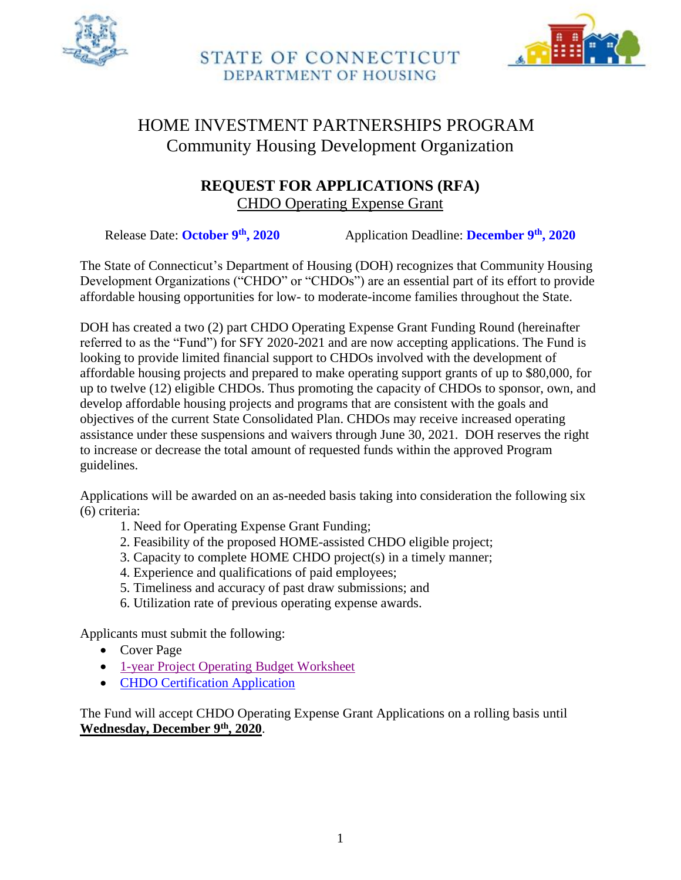



# HOME INVESTMENT PARTNERSHIPS PROGRAM Community Housing Development Organization

# **REQUEST FOR APPLICATIONS (RFA)** CHDO Operating Expense Grant

Release Date: **October 9th, 2020** Application Deadline: **December 9th, 2020**

The State of Connecticut's Department of Housing (DOH) recognizes that Community Housing Development Organizations ("CHDO" or "CHDOs") are an essential part of its effort to provide affordable housing opportunities for low- to moderate-income families throughout the State.

DOH has created a two (2) part CHDO Operating Expense Grant Funding Round (hereinafter referred to as the "Fund") for SFY 2020-2021 and are now accepting applications. The Fund is looking to provide limited financial support to CHDOs involved with the development of affordable housing projects and prepared to make operating support grants of up to \$80,000, for up to twelve (12) eligible CHDOs. Thus promoting the capacity of CHDOs to sponsor, own, and develop affordable housing projects and programs that are consistent with the goals and objectives of the current State Consolidated Plan. CHDOs may receive increased operating assistance under these suspensions and waivers through June 30, 2021. DOH reserves the right to increase or decrease the total amount of requested funds within the approved Program guidelines.

Applications will be awarded on an as-needed basis taking into consideration the following six (6) criteria:

- 1. Need for Operating Expense Grant Funding;
- 2. Feasibility of the proposed HOME-assisted CHDO eligible project;
- 3. Capacity to complete HOME CHDO project(s) in a timely manner;
- 4. Experience and qualifications of paid employees;
- 5. Timeliness and accuracy of past draw submissions; and
- 6. Utilization rate of previous operating expense awards.

Applicants must submit the following:

- Cover Page
- [1-year Project Operating Budget Worksheet](https://portal.ct.gov/-/media/DOH/CHDO/1-Year-Project-Budget.xls)
- [CHDO Certification Application](https://portal.ct.gov/-/media/DOH/CHDO/CHDO-Certification-Application.pdf)

The Fund will accept CHDO Operating Expense Grant Applications on a rolling basis until **Wednesday, December 9th, 2020**.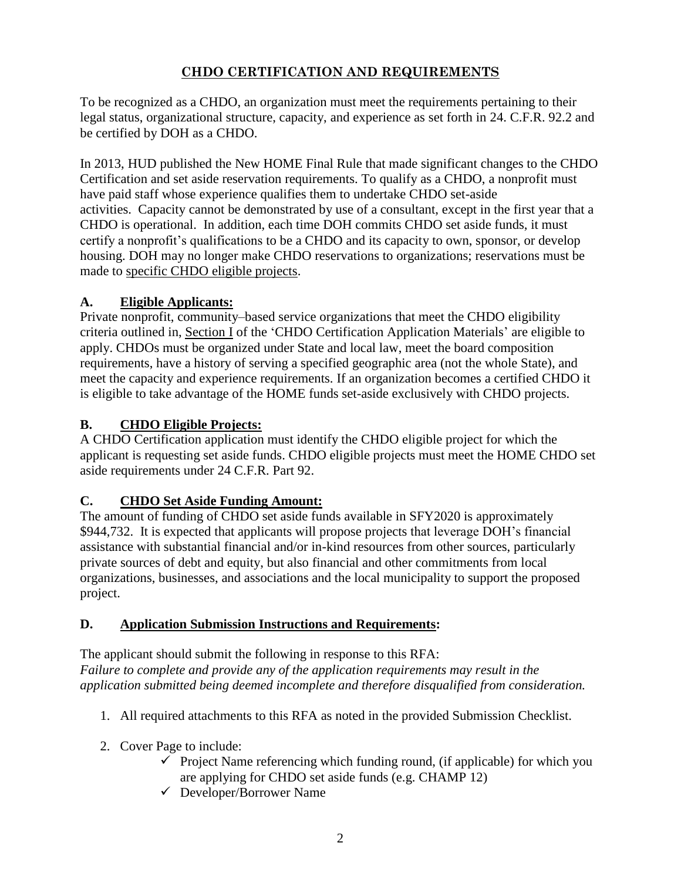## **CHDO CERTIFICATION AND REQUIREMENTS**

To be recognized as a CHDO, an organization must meet the requirements pertaining to their legal status, organizational structure, capacity, and experience as set forth in 24. C.F.R. 92.2 and be certified by DOH as a CHDO.

In 2013, HUD published the New HOME Final Rule that made significant changes to the CHDO Certification and set aside reservation requirements. To qualify as a CHDO, a nonprofit must have paid staff whose experience qualifies them to undertake CHDO set-aside activities. Capacity cannot be demonstrated by use of a consultant, except in the first year that a CHDO is operational. In addition, each time DOH commits CHDO set aside funds, it must certify a nonprofit's qualifications to be a CHDO and its capacity to own, sponsor, or develop housing. DOH may no longer make CHDO reservations to organizations; reservations must be made to specific CHDO eligible projects.

# **A. Eligible Applicants:**

Private nonprofit, community–based service organizations that meet the CHDO eligibility criteria outlined in, Section I of the 'CHDO Certification Application Materials' are eligible to apply. CHDOs must be organized under State and local law, meet the board composition requirements, have a history of serving a specified geographic area (not the whole State), and meet the capacity and experience requirements. If an organization becomes a certified CHDO it is eligible to take advantage of the HOME funds set-aside exclusively with CHDO projects.

# **B. CHDO Eligible Projects:**

A CHDO Certification application must identify the CHDO eligible project for which the applicant is requesting set aside funds. CHDO eligible projects must meet the HOME CHDO set aside requirements under 24 C.F.R. Part 92.

## **C. CHDO Set Aside Funding Amount:**

The amount of funding of CHDO set aside funds available in SFY2020 is approximately \$944,732. It is expected that applicants will propose projects that leverage DOH's financial assistance with substantial financial and/or in-kind resources from other sources, particularly private sources of debt and equity, but also financial and other commitments from local organizations, businesses, and associations and the local municipality to support the proposed project.

## **D. Application Submission Instructions and Requirements:**

The applicant should submit the following in response to this RFA: *Failure to complete and provide any of the application requirements may result in the application submitted being deemed incomplete and therefore disqualified from consideration.*

- 1. All required attachments to this RFA as noted in the provided Submission Checklist.
- 2. Cover Page to include:
	- $\checkmark$  Project Name referencing which funding round, (if applicable) for which you are applying for CHDO set aside funds (e.g. CHAMP 12)
	- Developer/Borrower Name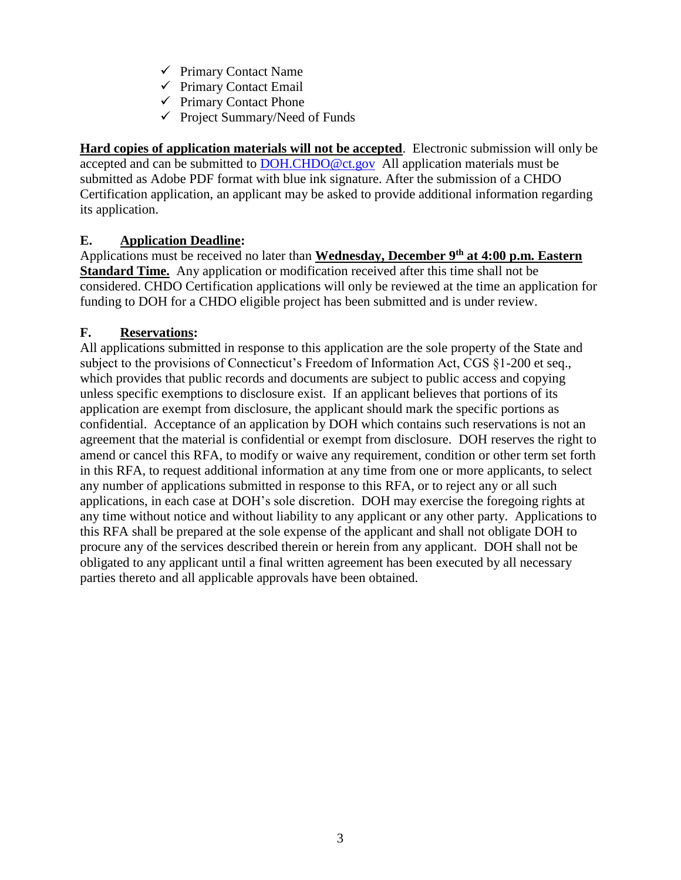- $\checkmark$  Primary Contact Name
- $\checkmark$  Primary Contact Email
- $\checkmark$  Primary Contact Phone
- $\checkmark$  Project Summary/Need of Funds

**Hard copies of application materials will not be accepted**. Electronic submission will only be accepted and can be submitted to [DOH.CHDO@ct.gov](mailto:DOH.CHDO@ct.gov) All application materials must be submitted as Adobe PDF format with blue ink signature. After the submission of a CHDO Certification application, an applicant may be asked to provide additional information regarding its application.

## **E. Application Deadline:**

Applications must be received no later than **Wednesday, December 9th at 4:00 p.m. Eastern Standard Time.** Any application or modification received after this time shall not be considered. CHDO Certification applications will only be reviewed at the time an application for funding to DOH for a CHDO eligible project has been submitted and is under review.

## **F. Reservations:**

All applications submitted in response to this application are the sole property of the State and subject to the provisions of Connecticut's Freedom of Information Act, CGS §1-200 et seq., which provides that public records and documents are subject to public access and copying unless specific exemptions to disclosure exist. If an applicant believes that portions of its application are exempt from disclosure, the applicant should mark the specific portions as confidential. Acceptance of an application by DOH which contains such reservations is not an agreement that the material is confidential or exempt from disclosure. DOH reserves the right to amend or cancel this RFA, to modify or waive any requirement, condition or other term set forth in this RFA, to request additional information at any time from one or more applicants, to select any number of applications submitted in response to this RFA, or to reject any or all such applications, in each case at DOH's sole discretion. DOH may exercise the foregoing rights at any time without notice and without liability to any applicant or any other party. Applications to this RFA shall be prepared at the sole expense of the applicant and shall not obligate DOH to procure any of the services described therein or herein from any applicant. DOH shall not be obligated to any applicant until a final written agreement has been executed by all necessary parties thereto and all applicable approvals have been obtained.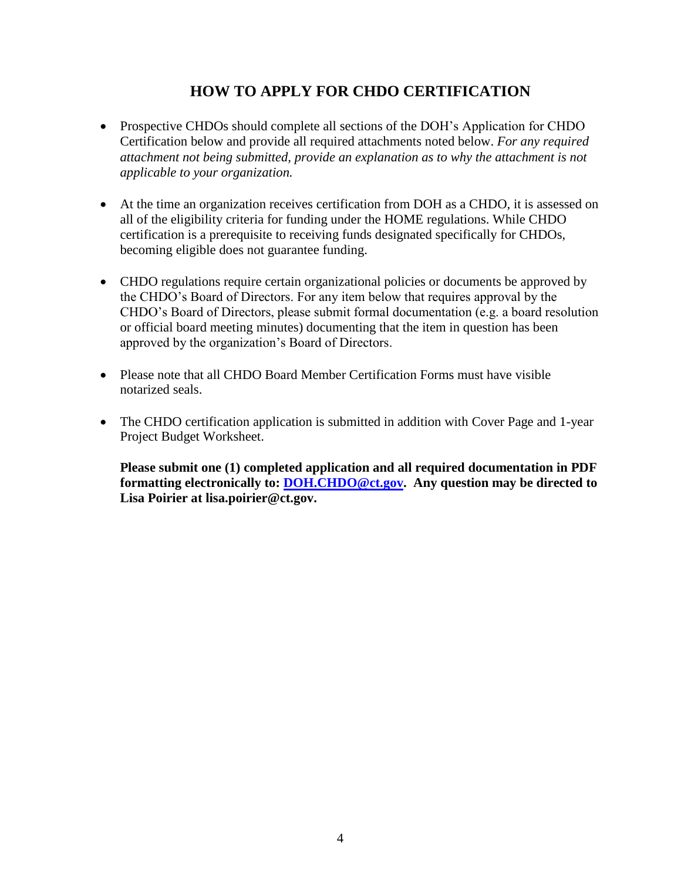# **HOW TO APPLY FOR CHDO CERTIFICATION**

- Prospective CHDOs should complete all sections of the DOH's Application for CHDO Certification below and provide all required attachments noted below. *For any required attachment not being submitted, provide an explanation as to why the attachment is not applicable to your organization.*
- At the time an organization receives certification from DOH as a CHDO, it is assessed on all of the eligibility criteria for funding under the HOME regulations. While CHDO certification is a prerequisite to receiving funds designated specifically for CHDOs, becoming eligible does not guarantee funding.
- CHDO regulations require certain organizational policies or documents be approved by the CHDO's Board of Directors. For any item below that requires approval by the CHDO's Board of Directors, please submit formal documentation (e.g. a board resolution or official board meeting minutes) documenting that the item in question has been approved by the organization's Board of Directors.
- Please note that all CHDO Board Member Certification Forms must have visible notarized seals.
- The CHDO certification application is submitted in addition with Cover Page and 1-year Project Budget Worksheet.

**Please submit one (1) completed application and all required documentation in PDF formatting electronically to: [DOH.CHDO@ct.gov.](mailto:DOH.CHDO@ct.gov) Any question may be directed to Lisa Poirier at lisa.poirier@ct.gov.**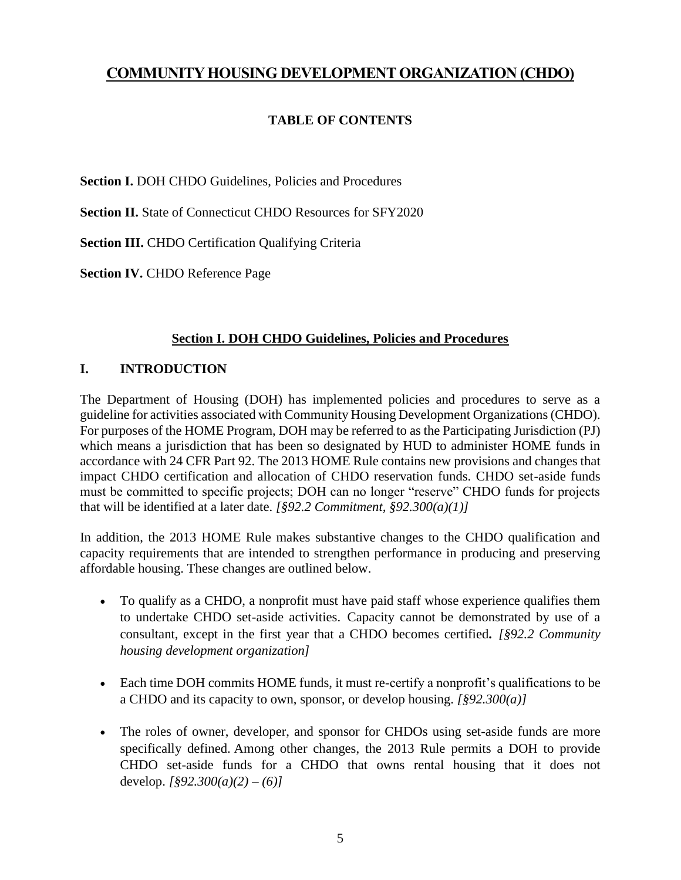# **COMMUNITY HOUSING DEVELOPMENT ORGANIZATION (CHDO)**

## **TABLE OF CONTENTS**

**Section I. DOH CHDO Guidelines, Policies and Procedures** 

**Section II.** State of Connecticut CHDO Resources for SFY2020

**Section III.** CHDO Certification Qualifying Criteria

**Section IV.** CHDO Reference Page

## **Section I. DOH CHDO Guidelines, Policies and Procedures**

## **I. INTRODUCTION**

The Department of Housing (DOH) has implemented policies and procedures to serve as a guideline for activities associated with Community Housing Development Organizations (CHDO). For purposes of the HOME Program, DOH may be referred to as the Participating Jurisdiction (PJ) which means a jurisdiction that has been so designated by HUD to administer HOME funds in accordance with 24 CFR Part 92. The 2013 HOME Rule contains new provisions and changes that impact CHDO certification and allocation of CHDO reservation funds. CHDO set-aside funds must be committed to specific projects; DOH can no longer "reserve" CHDO funds for projects that will be identified at a later date. *[§92.2 Commitment, §92.300(a)(1)]*

In addition, the 2013 HOME Rule makes substantive changes to the CHDO qualification and capacity requirements that are intended to strengthen performance in producing and preserving affordable housing. These changes are outlined below.

- To qualify as a CHDO, a nonprofit must have paid staff whose experience qualifies them to undertake CHDO set-aside activities. Capacity cannot be demonstrated by use of a consultant, except in the first year that a CHDO becomes certified**.** *[§92.2 Community housing development organization]*
- Each time DOH commits HOME funds, it must re-certify a nonprofit's qualifications to be a CHDO and its capacity to own, sponsor, or develop housing. *[§92.300(a)]*
- The roles of owner, developer, and sponsor for CHDOs using set-aside funds are more specifically defined. Among other changes, the 2013 Rule permits a DOH to provide CHDO set-aside funds for a CHDO that owns rental housing that it does not develop. *[§92.300(a)(2) – (6)]*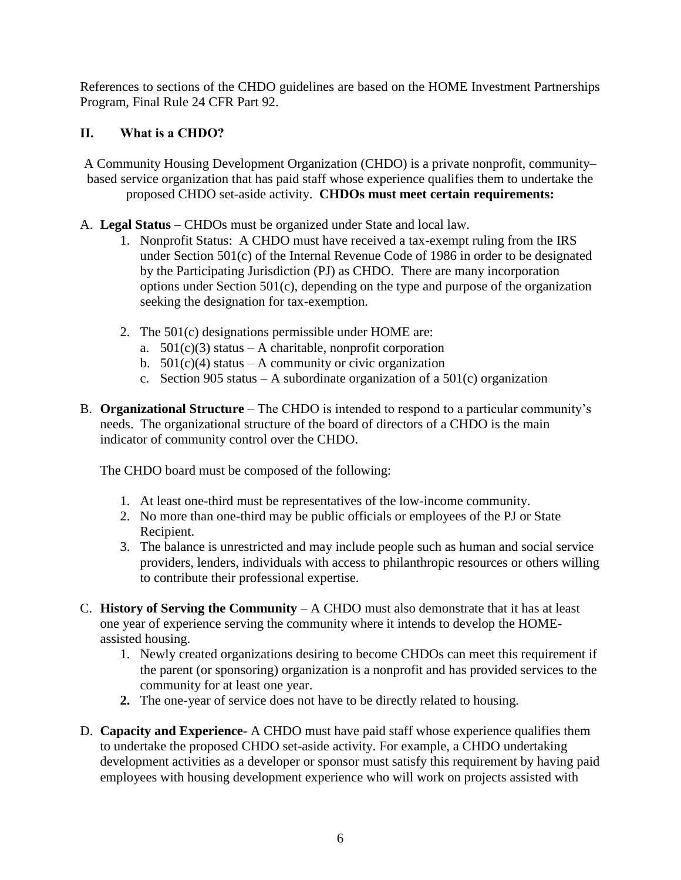References to sections of the CHDO guidelines are based on the HOME Investment Partnerships Program, Final Rule 24 CFR Part 92.

## **II. What is a CHDO?**

A Community Housing Development Organization (CHDO) is a private nonprofit, community– based service organization that has paid staff whose experience qualifies them to undertake the proposed CHDO set-aside activity. **CHDOs must meet certain requirements:** 

- A. **Legal Status** CHDOs must be organized under State and local law.
	- 1. Nonprofit Status: A CHDO must have received a tax-exempt ruling from the IRS under Section 501(c) of the Internal Revenue Code of 1986 in order to be designated by the Participating Jurisdiction (PJ) as CHDO. There are many incorporation options under Section 501(c), depending on the type and purpose of the organization seeking the designation for tax-exemption.
	- 2. The 501(c) designations permissible under HOME are:
		- a.  $501(c)(3)$  status A charitable, nonprofit corporation
		- b.  $501(c)(4)$  status A community or civic organization
		- c. Section 905 status A subordinate organization of a  $501(c)$  organization
- B. **Organizational Structure** The CHDO is intended to respond to a particular community's needs. The organizational structure of the board of directors of a CHDO is the main indicator of community control over the CHDO.

The CHDO board must be composed of the following:

- 1. At least one-third must be representatives of the low-income community.
- 2. No more than one-third may be public officials or employees of the PJ or State Recipient.
- 3. The balance is unrestricted and may include people such as human and social service providers, lenders, individuals with access to philanthropic resources or others willing to contribute their professional expertise.
- C. **History of Serving the Community** A CHDO must also demonstrate that it has at least one year of experience serving the community where it intends to develop the HOMEassisted housing.
	- 1. Newly created organizations desiring to become CHDOs can meet this requirement if the parent (or sponsoring) organization is a nonprofit and has provided services to the community for at least one year.
	- **2.** The one-year of service does not have to be directly related to housing.
- D. **Capacity and Experience-** A CHDO must have paid staff whose experience qualifies them to undertake the proposed CHDO set-aside activity. For example, a CHDO undertaking development activities as a developer or sponsor must satisfy this requirement by having paid employees with housing development experience who will work on projects assisted with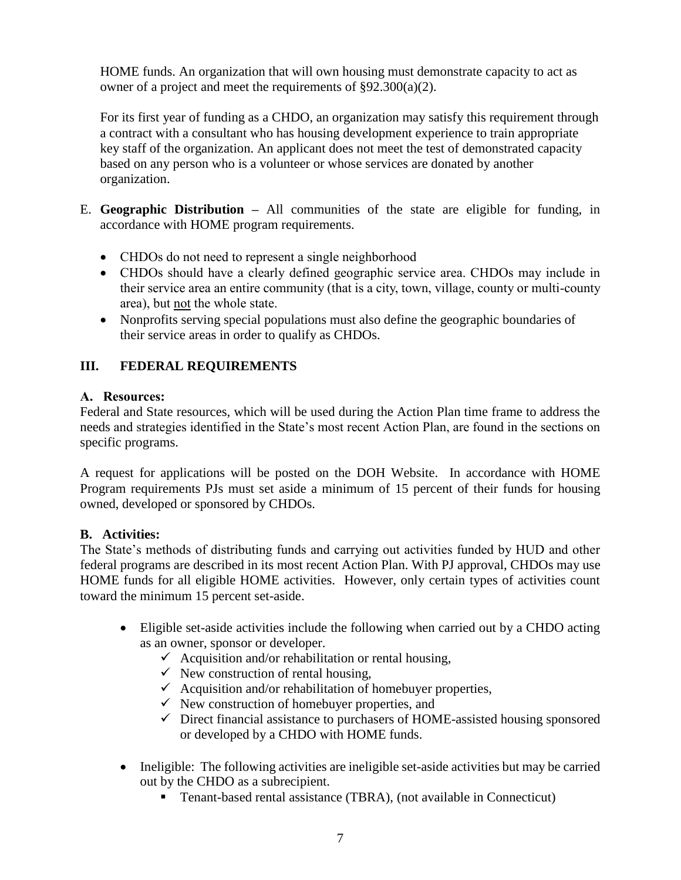HOME funds. An organization that will own housing must demonstrate capacity to act as owner of a project and meet the requirements of §92.300(a)(2).

For its first year of funding as a CHDO, an organization may satisfy this requirement through a contract with a consultant who has housing development experience to train appropriate key staff of the organization. An applicant does not meet the test of demonstrated capacity based on any person who is a volunteer or whose services are donated by another organization.

- E. **Geographic Distribution –** All communities of the state are eligible for funding, in accordance with HOME program requirements.
	- CHDOs do not need to represent a single neighborhood
	- CHDOs should have a clearly defined geographic service area. CHDOs may include in their service area an entire community (that is a city, town, village, county or multi-county area), but not the whole state.
	- Nonprofits serving special populations must also define the geographic boundaries of their service areas in order to qualify as CHDOs.

## **III. FEDERAL REQUIREMENTS**

## **A. Resources:**

Federal and State resources, which will be used during the Action Plan time frame to address the needs and strategies identified in the State's most recent Action Plan, are found in the sections on specific programs.

A request for applications will be posted on the DOH Website. In accordance with HOME Program requirements PJs must set aside a minimum of 15 percent of their funds for housing owned, developed or sponsored by CHDOs.

## **B. Activities:**

The State's methods of distributing funds and carrying out activities funded by HUD and other federal programs are described in its most recent Action Plan. With PJ approval, CHDOs may use HOME funds for all eligible HOME activities. However, only certain types of activities count toward the minimum 15 percent set-aside.

- Eligible set-aside activities include the following when carried out by a CHDO acting as an owner, sponsor or developer.
	- $\checkmark$  Acquisition and/or rehabilitation or rental housing,
	- $\checkmark$  New construction of rental housing,
	- $\checkmark$  Acquisition and/or rehabilitation of homebuyer properties,
	- $\checkmark$  New construction of homebuyer properties, and
	- $\checkmark$  Direct financial assistance to purchasers of HOME-assisted housing sponsored or developed by a CHDO with HOME funds.
- Ineligible: The following activities are ineligible set-aside activities but may be carried out by the CHDO as a subrecipient.
	- Tenant-based rental assistance (TBRA), (not available in Connecticut)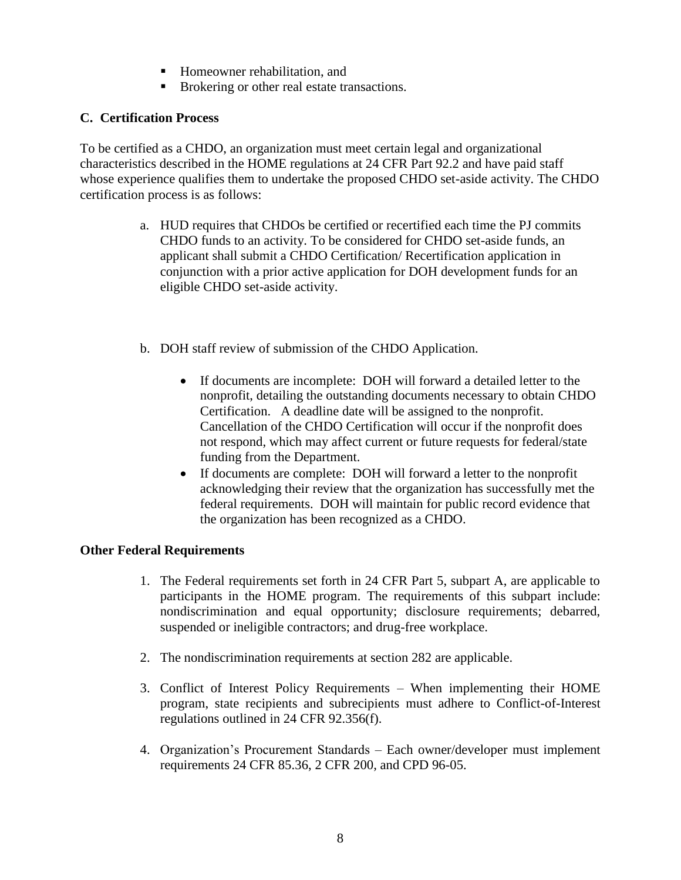- Homeowner rehabilitation, and
- Brokering or other real estate transactions.

## **C. Certification Process**

To be certified as a CHDO, an organization must meet certain legal and organizational characteristics described in the HOME regulations at 24 CFR Part 92.2 and have paid staff whose experience qualifies them to undertake the proposed CHDO set-aside activity. The CHDO certification process is as follows:

- a. HUD requires that CHDOs be certified or recertified each time the PJ commits CHDO funds to an activity. To be considered for CHDO set-aside funds, an applicant shall submit a CHDO Certification/ Recertification application in conjunction with a prior active application for DOH development funds for an eligible CHDO set-aside activity.
- b. DOH staff review of submission of the CHDO Application.
	- If documents are incomplete: DOH will forward a detailed letter to the nonprofit, detailing the outstanding documents necessary to obtain CHDO Certification. A deadline date will be assigned to the nonprofit. Cancellation of the CHDO Certification will occur if the nonprofit does not respond, which may affect current or future requests for federal/state funding from the Department.
	- If documents are complete: DOH will forward a letter to the nonprofit acknowledging their review that the organization has successfully met the federal requirements. DOH will maintain for public record evidence that the organization has been recognized as a CHDO.

## **Other Federal Requirements**

- 1. The Federal requirements set forth in 24 CFR Part 5, subpart A, are applicable to participants in the HOME program. The requirements of this subpart include: nondiscrimination and equal opportunity; disclosure requirements; debarred, suspended or ineligible contractors; and drug-free workplace.
- 2. The nondiscrimination requirements at section 282 are applicable.
- 3. Conflict of Interest Policy Requirements When implementing their HOME program, state recipients and subrecipients must adhere to Conflict-of-Interest regulations outlined in 24 CFR 92.356(f).
- 4. Organization's Procurement Standards Each owner/developer must implement requirements 24 CFR 85.36, 2 CFR 200, and CPD 96-05.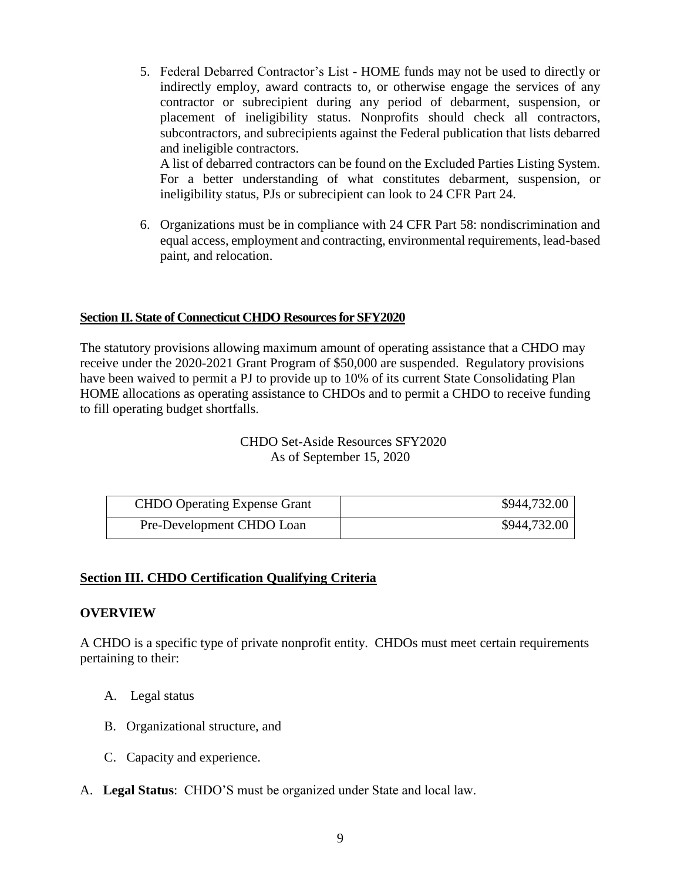5. Federal Debarred Contractor's List - HOME funds may not be used to directly or indirectly employ, award contracts to, or otherwise engage the services of any contractor or subrecipient during any period of debarment, suspension, or placement of ineligibility status. Nonprofits should check all contractors, subcontractors, and subrecipients against the Federal publication that lists debarred and ineligible contractors.

A list of debarred contractors can be found on the Excluded Parties Listing System. For a better understanding of what constitutes debarment, suspension, or ineligibility status, PJs or subrecipient can look to 24 CFR Part 24.

6. Organizations must be in compliance with 24 CFR Part 58: nondiscrimination and equal access, employment and contracting, environmental requirements, lead-based paint, and relocation.

## **Section II. State of Connecticut CHDO Resources for SFY2020**

The statutory provisions allowing maximum amount of operating assistance that a CHDO may receive under the 2020-2021 Grant Program of \$50,000 are suspended. Regulatory provisions have been waived to permit a PJ to provide up to 10% of its current State Consolidating Plan HOME allocations as operating assistance to CHDOs and to permit a CHDO to receive funding to fill operating budget shortfalls.

> CHDO Set-Aside Resources SFY2020 As of September 15, 2020

| <b>CHDO</b> Operating Expense Grant | \$944,732.00 |
|-------------------------------------|--------------|
| Pre-Development CHDO Loan           | \$944,732.00 |

## **Section III. CHDO Certification Qualifying Criteria**

#### **OVERVIEW**

A CHDO is a specific type of private nonprofit entity. CHDOs must meet certain requirements pertaining to their:

- A. Legal status
- B. Organizational structure, and
- C. Capacity and experience.
- A. **Legal Status**: CHDO'S must be organized under State and local law.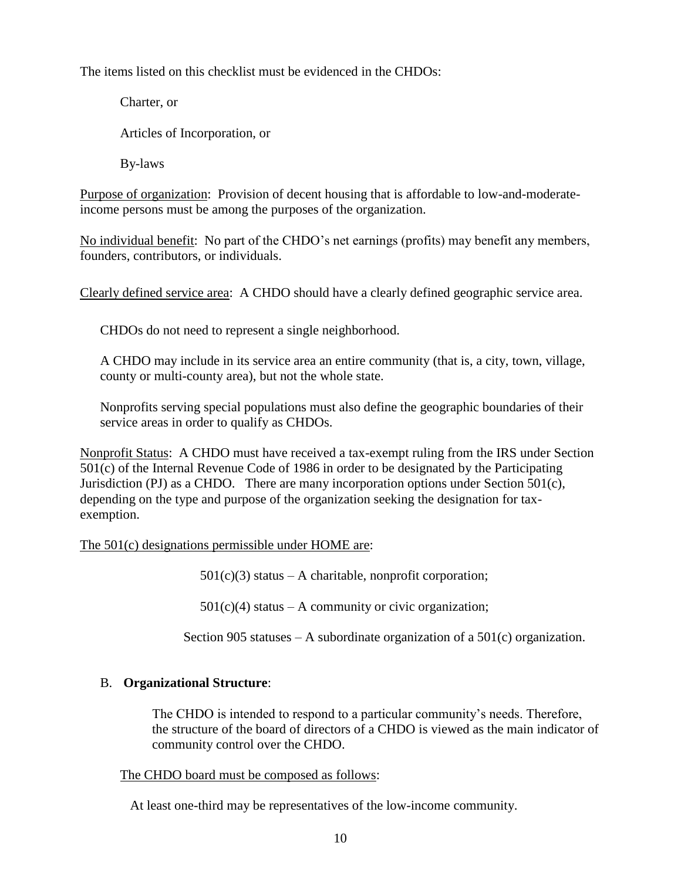The items listed on this checklist must be evidenced in the CHDOs:

Charter, or Articles of Incorporation, or By-laws

Purpose of organization: Provision of decent housing that is affordable to low-and-moderateincome persons must be among the purposes of the organization.

No individual benefit: No part of the CHDO's net earnings (profits) may benefit any members, founders, contributors, or individuals.

Clearly defined service area: A CHDO should have a clearly defined geographic service area.

CHDOs do not need to represent a single neighborhood.

A CHDO may include in its service area an entire community (that is, a city, town, village, county or multi-county area), but not the whole state.

Nonprofits serving special populations must also define the geographic boundaries of their service areas in order to qualify as CHDOs.

Nonprofit Status: A CHDO must have received a tax-exempt ruling from the IRS under Section 501(c) of the Internal Revenue Code of 1986 in order to be designated by the Participating Jurisdiction (PJ) as a CHDO. There are many incorporation options under Section 501 $(c)$ , depending on the type and purpose of the organization seeking the designation for taxexemption.

The 501(c) designations permissible under HOME are:

 $501(c)(3)$  status – A charitable, nonprofit corporation;

 $501(c)(4)$  status – A community or civic organization;

Section 905 statuses – A subordinate organization of a  $501(c)$  organization.

#### B. **Organizational Structure**:

The CHDO is intended to respond to a particular community's needs. Therefore, the structure of the board of directors of a CHDO is viewed as the main indicator of community control over the CHDO.

#### The CHDO board must be composed as follows:

At least one-third may be representatives of the low-income community.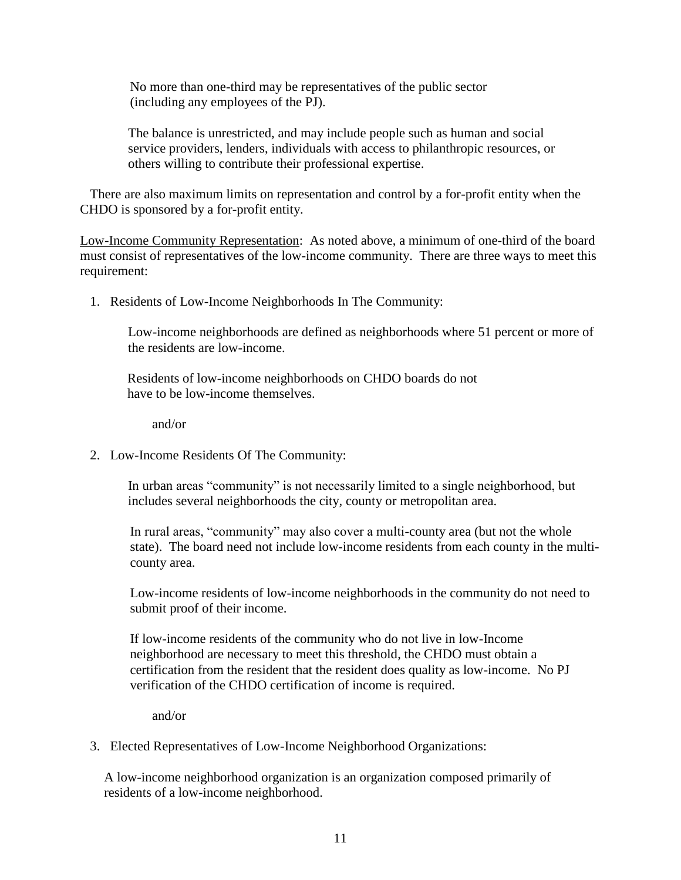No more than one-third may be representatives of the public sector (including any employees of the PJ).

The balance is unrestricted, and may include people such as human and social service providers, lenders, individuals with access to philanthropic resources, or others willing to contribute their professional expertise.

There are also maximum limits on representation and control by a for-profit entity when the CHDO is sponsored by a for-profit entity.

Low-Income Community Representation: As noted above, a minimum of one-third of the board must consist of representatives of the low-income community. There are three ways to meet this requirement:

1. Residents of Low-Income Neighborhoods In The Community:

Low-income neighborhoods are defined as neighborhoods where 51 percent or more of the residents are low-income.

 Residents of low-income neighborhoods on CHDO boards do not have to be low-income themselves.

and/or

2. Low-Income Residents Of The Community:

In urban areas "community" is not necessarily limited to a single neighborhood, but includes several neighborhoods the city, county or metropolitan area.

In rural areas, "community" may also cover a multi-county area (but not the whole state). The board need not include low-income residents from each county in the multicounty area.

Low-income residents of low-income neighborhoods in the community do not need to submit proof of their income.

If low-income residents of the community who do not live in low-Income neighborhood are necessary to meet this threshold, the CHDO must obtain a certification from the resident that the resident does quality as low-income. No PJ verification of the CHDO certification of income is required.

and/or

## 3. Elected Representatives of Low-Income Neighborhood Organizations:

A low-income neighborhood organization is an organization composed primarily of residents of a low-income neighborhood.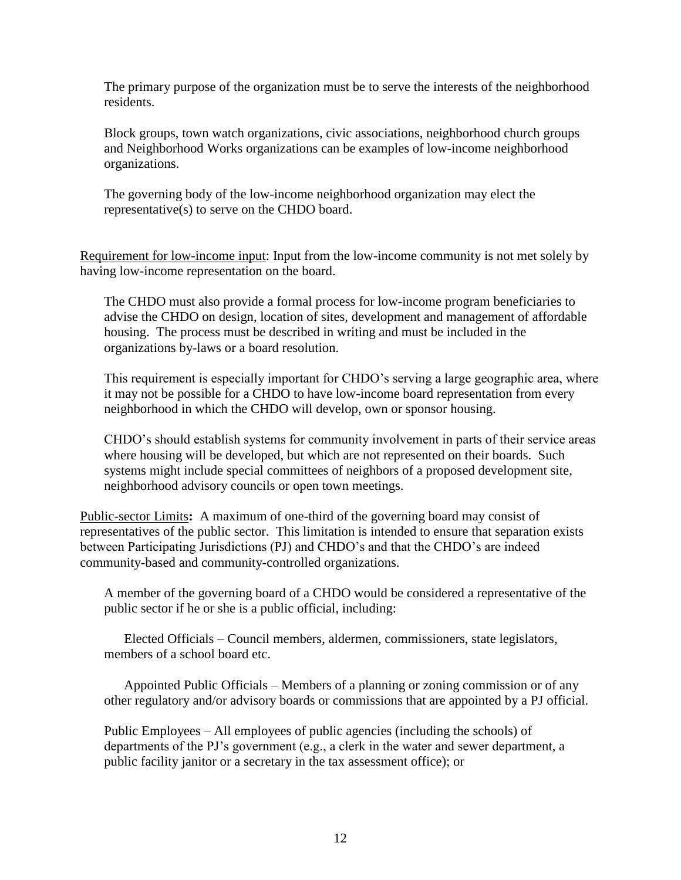The primary purpose of the organization must be to serve the interests of the neighborhood residents.

Block groups, town watch organizations, civic associations, neighborhood church groups and Neighborhood Works organizations can be examples of low-income neighborhood organizations.

The governing body of the low-income neighborhood organization may elect the representative(s) to serve on the CHDO board.

Requirement for low-income input: Input from the low-income community is not met solely by having low-income representation on the board.

The CHDO must also provide a formal process for low-income program beneficiaries to advise the CHDO on design, location of sites, development and management of affordable housing. The process must be described in writing and must be included in the organizations by-laws or a board resolution.

This requirement is especially important for CHDO's serving a large geographic area, where it may not be possible for a CHDO to have low-income board representation from every neighborhood in which the CHDO will develop, own or sponsor housing.

CHDO's should establish systems for community involvement in parts of their service areas where housing will be developed, but which are not represented on their boards. Such systems might include special committees of neighbors of a proposed development site, neighborhood advisory councils or open town meetings.

Public-sector Limits**:** A maximum of one-third of the governing board may consist of representatives of the public sector. This limitation is intended to ensure that separation exists between Participating Jurisdictions (PJ) and CHDO's and that the CHDO's are indeed community-based and community-controlled organizations.

A member of the governing board of a CHDO would be considered a representative of the public sector if he or she is a public official, including:

Elected Officials – Council members, aldermen, commissioners, state legislators, members of a school board etc.

Appointed Public Officials – Members of a planning or zoning commission or of any other regulatory and/or advisory boards or commissions that are appointed by a PJ official.

Public Employees – All employees of public agencies (including the schools) of departments of the PJ's government (e.g., a clerk in the water and sewer department, a public facility janitor or a secretary in the tax assessment office); or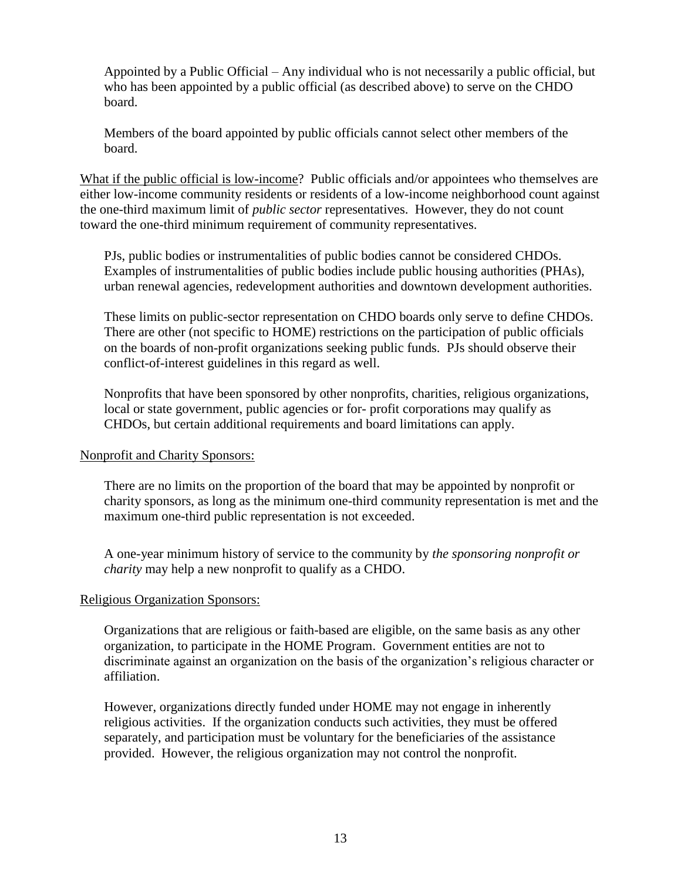Appointed by a Public Official – Any individual who is not necessarily a public official, but who has been appointed by a public official (as described above) to serve on the CHDO board.

Members of the board appointed by public officials cannot select other members of the board.

What if the public official is low-income? Public officials and/or appointees who themselves are either low-income community residents or residents of a low-income neighborhood count against the one-third maximum limit of *public sector* representatives. However, they do not count toward the one-third minimum requirement of community representatives.

PJs, public bodies or instrumentalities of public bodies cannot be considered CHDOs. Examples of instrumentalities of public bodies include public housing authorities (PHAs), urban renewal agencies, redevelopment authorities and downtown development authorities.

These limits on public-sector representation on CHDO boards only serve to define CHDOs. There are other (not specific to HOME) restrictions on the participation of public officials on the boards of non-profit organizations seeking public funds. PJs should observe their conflict-of-interest guidelines in this regard as well.

Nonprofits that have been sponsored by other nonprofits, charities, religious organizations, local or state government, public agencies or for- profit corporations may qualify as CHDOs, but certain additional requirements and board limitations can apply.

#### Nonprofit and Charity Sponsors:

There are no limits on the proportion of the board that may be appointed by nonprofit or charity sponsors, as long as the minimum one-third community representation is met and the maximum one-third public representation is not exceeded.

A one-year minimum history of service to the community by *the sponsoring nonprofit or charity* may help a new nonprofit to qualify as a CHDO.

## Religious Organization Sponsors:

Organizations that are religious or faith-based are eligible, on the same basis as any other organization, to participate in the HOME Program. Government entities are not to discriminate against an organization on the basis of the organization's religious character or affiliation.

However, organizations directly funded under HOME may not engage in inherently religious activities. If the organization conducts such activities, they must be offered separately, and participation must be voluntary for the beneficiaries of the assistance provided. However, the religious organization may not control the nonprofit.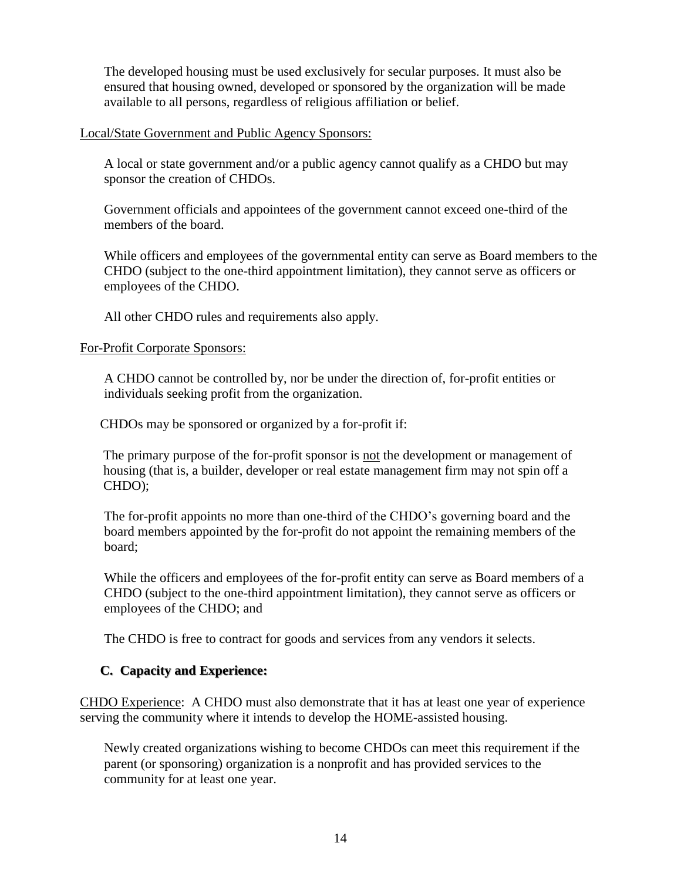The developed housing must be used exclusively for secular purposes. It must also be ensured that housing owned, developed or sponsored by the organization will be made available to all persons, regardless of religious affiliation or belief.

#### Local/State Government and Public Agency Sponsors:

A local or state government and/or a public agency cannot qualify as a CHDO but may sponsor the creation of CHDOs.

Government officials and appointees of the government cannot exceed one-third of the members of the board.

While officers and employees of the governmental entity can serve as Board members to the CHDO (subject to the one-third appointment limitation), they cannot serve as officers or employees of the CHDO.

All other CHDO rules and requirements also apply.

## For-Profit Corporate Sponsors:

A CHDO cannot be controlled by, nor be under the direction of, for-profit entities or individuals seeking profit from the organization.

CHDOs may be sponsored or organized by a for-profit if:

The primary purpose of the for-profit sponsor is not the development or management of housing (that is, a builder, developer or real estate management firm may not spin off a CHDO);

The for-profit appoints no more than one-third of the CHDO's governing board and the board members appointed by the for-profit do not appoint the remaining members of the board;

While the officers and employees of the for-profit entity can serve as Board members of a CHDO (subject to the one-third appointment limitation), they cannot serve as officers or employees of the CHDO; and

The CHDO is free to contract for goods and services from any vendors it selects.

## **C. Capacity and Experience:**

CHDO Experience: A CHDO must also demonstrate that it has at least one year of experience serving the community where it intends to develop the HOME-assisted housing.

Newly created organizations wishing to become CHDOs can meet this requirement if the parent (or sponsoring) organization is a nonprofit and has provided services to the community for at least one year.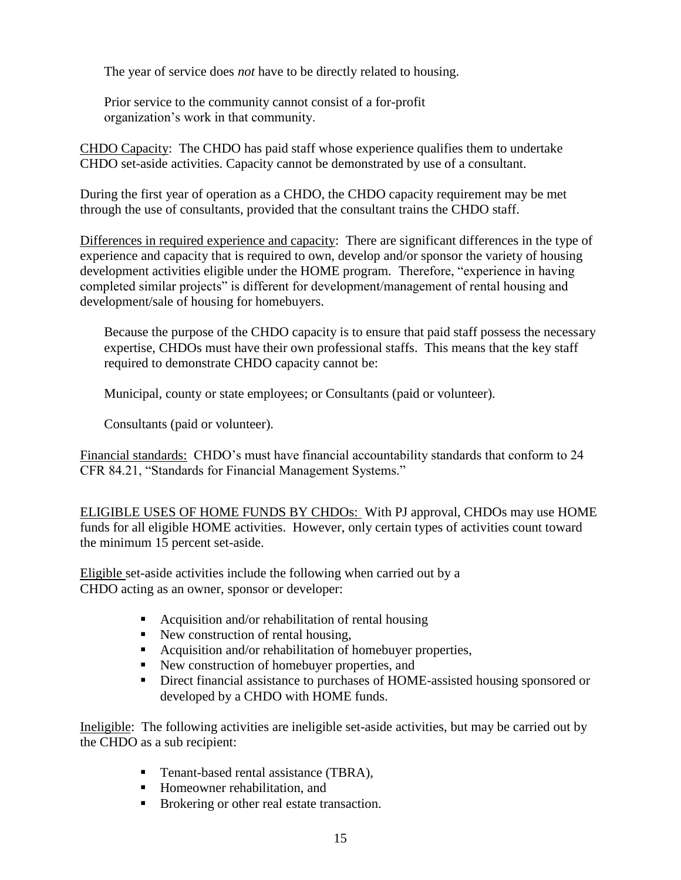The year of service does *not* have to be directly related to housing.

Prior service to the community cannot consist of a for-profit organization's work in that community.

CHDO Capacity: The CHDO has paid staff whose experience qualifies them to undertake CHDO set-aside activities. Capacity cannot be demonstrated by use of a consultant.

During the first year of operation as a CHDO, the CHDO capacity requirement may be met through the use of consultants, provided that the consultant trains the CHDO staff.

Differences in required experience and capacity: There are significant differences in the type of experience and capacity that is required to own, develop and/or sponsor the variety of housing development activities eligible under the HOME program. Therefore, "experience in having completed similar projects" is different for development/management of rental housing and development/sale of housing for homebuyers.

Because the purpose of the CHDO capacity is to ensure that paid staff possess the necessary expertise, CHDOs must have their own professional staffs. This means that the key staff required to demonstrate CHDO capacity cannot be:

Municipal, county or state employees; or Consultants (paid or volunteer).

Consultants (paid or volunteer).

Financial standards: CHDO's must have financial accountability standards that conform to 24 CFR 84.21, "Standards for Financial Management Systems."

ELIGIBLE USES OF HOME FUNDS BY CHDOs: With PJ approval, CHDOs may use HOME funds for all eligible HOME activities. However, only certain types of activities count toward the minimum 15 percent set-aside.

Eligible set-aside activities include the following when carried out by a CHDO acting as an owner, sponsor or developer:

- Acquisition and/or rehabilitation of rental housing
- New construction of rental housing,
- Acquisition and/or rehabilitation of homebuyer properties,
- New construction of homebuyer properties, and
- Direct financial assistance to purchases of HOME-assisted housing sponsored or developed by a CHDO with HOME funds.

Ineligible: The following activities are ineligible set-aside activities, but may be carried out by the CHDO as a sub recipient:

- Tenant-based rental assistance (TBRA),
- Homeowner rehabilitation, and
- Brokering or other real estate transaction.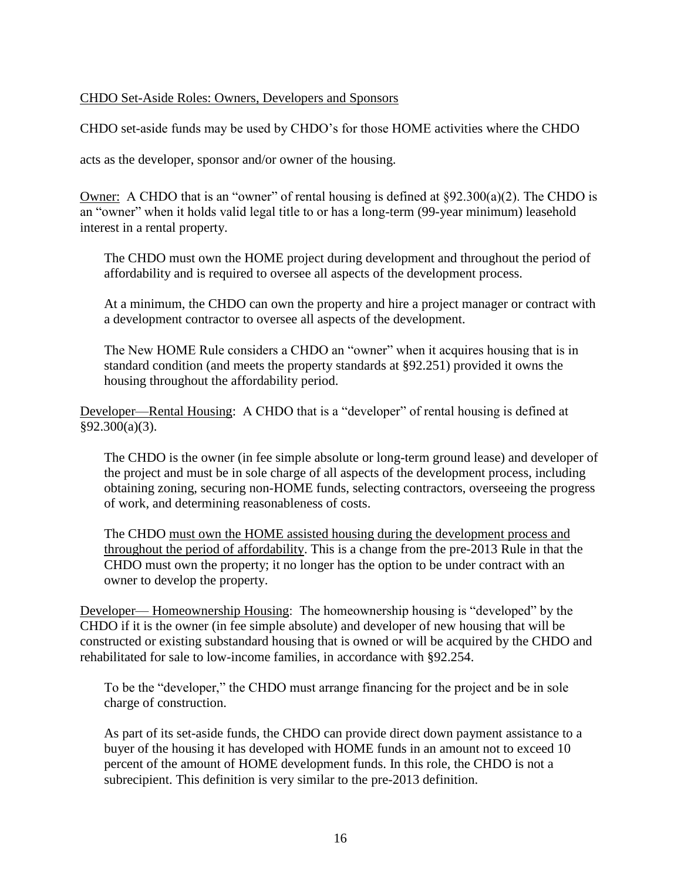#### CHDO Set-Aside Roles: Owners, Developers and Sponsors

CHDO set-aside funds may be used by CHDO's for those HOME activities where the CHDO

acts as the developer, sponsor and/or owner of the housing.

Owner: A CHDO that is an "owner" of rental housing is defined at  $\S 92.300(a)(2)$ . The CHDO is an "owner" when it holds valid legal title to or has a long-term (99-year minimum) leasehold interest in a rental property.

The CHDO must own the HOME project during development and throughout the period of affordability and is required to oversee all aspects of the development process.

At a minimum, the CHDO can own the property and hire a project manager or contract with a development contractor to oversee all aspects of the development.

The New HOME Rule considers a CHDO an "owner" when it acquires housing that is in standard condition (and meets the property standards at §92.251) provided it owns the housing throughout the affordability period.

Developer—Rental Housing: A CHDO that is a "developer" of rental housing is defined at §92.300(a)(3).

The CHDO is the owner (in fee simple absolute or long-term ground lease) and developer of the project and must be in sole charge of all aspects of the development process, including obtaining zoning, securing non-HOME funds, selecting contractors, overseeing the progress of work, and determining reasonableness of costs.

The CHDO must own the HOME assisted housing during the development process and throughout the period of affordability. This is a change from the pre-2013 Rule in that the CHDO must own the property; it no longer has the option to be under contract with an owner to develop the property.

Developer— Homeownership Housing: The homeownership housing is "developed" by the CHDO if it is the owner (in fee simple absolute) and developer of new housing that will be constructed or existing substandard housing that is owned or will be acquired by the CHDO and rehabilitated for sale to low-income families, in accordance with §92.254.

To be the "developer," the CHDO must arrange financing for the project and be in sole charge of construction.

As part of its set-aside funds, the CHDO can provide direct down payment assistance to a buyer of the housing it has developed with HOME funds in an amount not to exceed 10 percent of the amount of HOME development funds. In this role, the CHDO is not a subrecipient. This definition is very similar to the pre-2013 definition.